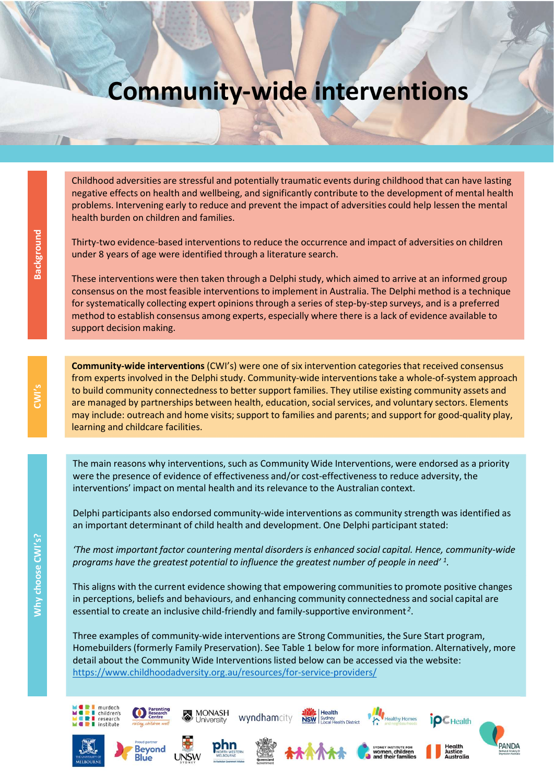## Community-wide interventions

Childhood adversities are stressful and potentially traumatic events during childhood that can have lasting negative effects on health and wellbeing, and significantly contribute to the development of mental health problems. Intervening early to reduce and prevent the impact of adversities could help lessen the mental health burden on children and families.

Thirty-two evidence-based interventions to reduce the occurrence and impact of adversities on children under 8 years of age were identified through a literature search.

These interventions were then taken through a Delphi study, which aimed to arrive at an informed group consensus on the most feasible interventions to implement in Australia. The Delphi method is a technique for systematically collecting expert opinions through a series of step-by-step surveys, and is a preferred method to establish consensus among experts, especially where there is a lack of evidence available to support decision making.

Community-wide interventions (CWI's) were one of six intervention categories that received consensus from experts involved in the Delphi study. Community-wide interventions take a whole-of-system approach to build community connectedness to better support families. They utilise existing community assets and are managed by partnerships between health, education, social services, and voluntary sectors. Elements may include: outreach and home visits; support to families and parents; and support for good-quality play, learning and childcare facilities. Thirty-two evidence-based interventions to reduce the occurrence and impact of adversities on child<br>
under 8 years of age were dentified through a literature search.<br>
consensus on the most feasible interventions to impleme

The main reasons why interventions, such as Community Wide Interventions, were endorsed as a priority were the presence of evidence of effectiveness and/or cost-effectiveness to reduce adversity, the interventions' impact on mental health and its relevance to the Australian context.

Delphi participants also endorsed community-wide interventions as community strength was identified as an important determinant of child health and development. One Delphi participant stated:

'The most important factor countering mental disorders is enhanced social capital. Hence, community-wide programs have the greatest potential to influence the greatest number of people in need' 1 .

This aligns with the current evidence showing that empowering communities to promote positive changes in perceptions, beliefs and behaviours, and enhancing community connectedness and social capital are essential to create an inclusive child-friendly and family-supportive environment<sup>2</sup>. .

Three examples of community-wide interventions are Strong Communities, the Sure Start program, Homebuilders (formerly Family Preservation). See Table 1 below for more information. Alternatively, more detail about the Community Wide Interventions listed below can be accessed via the website:

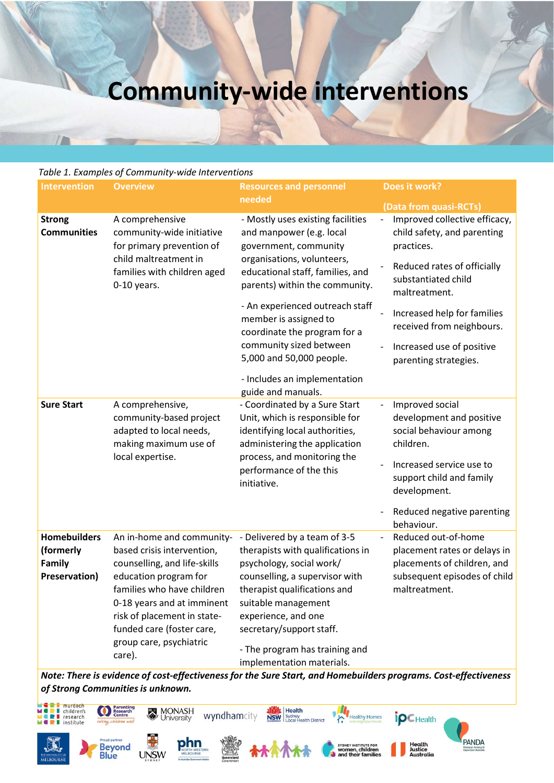## Community-wide interventions

## Table 1. Examples of Community-wide Interventions

|                                                             |                                                                                                                                                                                                                                                                               | <b>Community-wide interventions</b>                                                                                                                                                                                                                                                                      |                                                                                                                                     |
|-------------------------------------------------------------|-------------------------------------------------------------------------------------------------------------------------------------------------------------------------------------------------------------------------------------------------------------------------------|----------------------------------------------------------------------------------------------------------------------------------------------------------------------------------------------------------------------------------------------------------------------------------------------------------|-------------------------------------------------------------------------------------------------------------------------------------|
|                                                             | Table 1. Examples of Community-wide Interventions                                                                                                                                                                                                                             |                                                                                                                                                                                                                                                                                                          |                                                                                                                                     |
| <b>Intervention</b>                                         | <b>Overview</b>                                                                                                                                                                                                                                                               | <b>Resources and personnel</b><br>needed                                                                                                                                                                                                                                                                 | Does it work?                                                                                                                       |
| <b>Strong</b><br><b>Communities</b>                         | A comprehensive<br>community-wide initiative<br>for primary prevention of<br>child maltreatment in<br>families with children aged<br>$0-10$ years.                                                                                                                            | - Mostly uses existing facilities<br>and manpower (e.g. local<br>government, community                                                                                                                                                                                                                   | (Data from quasi-RCTs)<br>Improved collective efficacy,<br>child safety, and parenting<br>practices.                                |
|                                                             |                                                                                                                                                                                                                                                                               | organisations, volunteers,<br>educational staff, families, and<br>parents) within the community.                                                                                                                                                                                                         | Reduced rates of officially<br>substantiated child<br>maltreatment.                                                                 |
|                                                             |                                                                                                                                                                                                                                                                               | - An experienced outreach staff<br>member is assigned to<br>coordinate the program for a<br>community sized between                                                                                                                                                                                      | Increased help for families<br>received from neighbours.                                                                            |
|                                                             |                                                                                                                                                                                                                                                                               | 5,000 and 50,000 people.<br>- Includes an implementation                                                                                                                                                                                                                                                 | Increased use of positive<br>parenting strategies.                                                                                  |
| <b>Sure Start</b>                                           | A comprehensive,<br>community-based project<br>adapted to local needs,<br>making maximum use of<br>local expertise.                                                                                                                                                           | guide and manuals.<br>- Coordinated by a Sure Start<br>Unit, which is responsible for<br>identifying local authorities,<br>administering the application<br>process, and monitoring the<br>performance of the this<br>initiative.                                                                        | Improved social<br>development and positive<br>social behaviour among<br>children.                                                  |
|                                                             |                                                                                                                                                                                                                                                                               |                                                                                                                                                                                                                                                                                                          | Increased service use to<br>support child and family<br>development.                                                                |
|                                                             |                                                                                                                                                                                                                                                                               |                                                                                                                                                                                                                                                                                                          | Reduced negative parenting<br>behaviour.                                                                                            |
| <b>Homebuilders</b><br>(formerly<br>Family<br>Preservation) | An in-home and community-<br>based crisis intervention,<br>counselling, and life-skills<br>education program for<br>families who have children<br>0-18 years and at imminent<br>risk of placement in state-<br>funded care (foster care,<br>group care, psychiatric<br>care). | - Delivered by a team of 3-5<br>therapists with qualifications in<br>psychology, social work/<br>counselling, a supervisor with<br>therapist qualifications and<br>suitable management<br>experience, and one<br>secretary/support staff.<br>- The program has training and<br>implementation materials. | Reduced out-of-home<br>placement rates or delays in<br>placements of children, and<br>subsequent episodes of child<br>maltreatment. |
|                                                             |                                                                                                                                                                                                                                                                               |                                                                                                                                                                                                                                                                                                          |                                                                                                                                     |